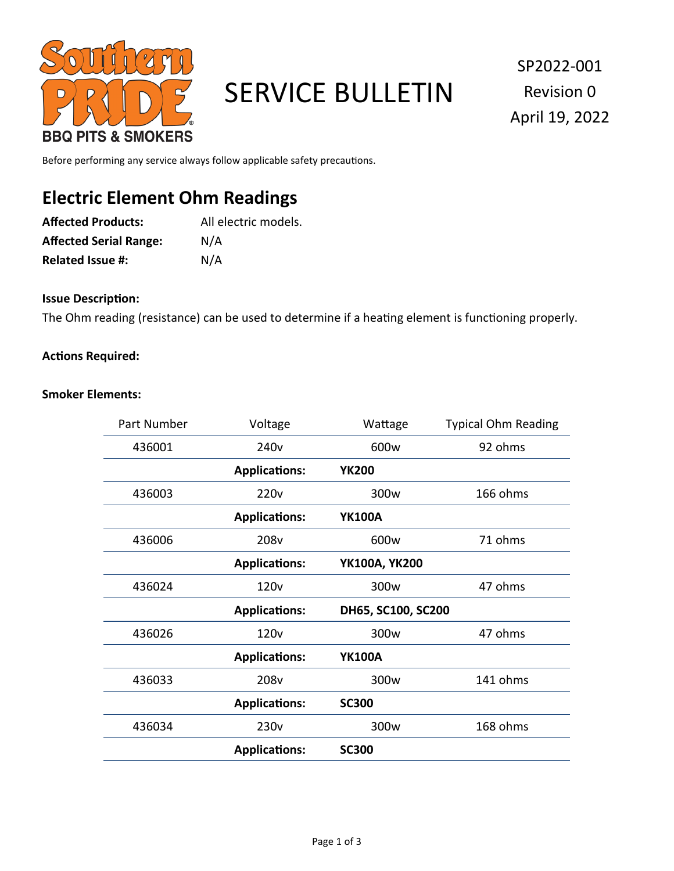

# SERVICE BULLETIN

SP2022-001 Revision 0 April 19, 2022

Before performing any service always follow applicable safety precautions.

# **Electric Element Ohm Readings**

| <b>Affected Products:</b>     | All electric models. |
|-------------------------------|----------------------|
| <b>Affected Serial Range:</b> | N/A                  |
| <b>Related Issue #:</b>       | N/A                  |

### **Issue Description:**

The Ohm reading (resistance) can be used to determine if a heating element is functioning properly.

#### **Actions Required:**

#### **Smoker Elements:**

| Part Number | Voltage              | Wattage            | <b>Typical Ohm Reading</b> |
|-------------|----------------------|--------------------|----------------------------|
| 436001      | 240 <sub>v</sub>     | 600w               | 92 ohms                    |
|             | <b>Applications:</b> | <b>YK200</b>       |                            |
| 436003      | 220 <sub>v</sub>     | 300 <sub>w</sub>   | 166 ohms                   |
|             | <b>Applications:</b> | <b>YK100A</b>      |                            |
| 436006      | 208v                 | 600w               | 71 ohms                    |
|             | <b>Applications:</b> | YK100A, YK200      |                            |
| 436024      | 120 <sub>v</sub>     | 300 <sub>w</sub>   | 47 ohms                    |
|             | <b>Applications:</b> | DH65, SC100, SC200 |                            |
| 436026      | 120 <sub>v</sub>     | 300 <sub>w</sub>   | 47 ohms                    |
|             | <b>Applications:</b> | <b>YK100A</b>      |                            |
| 436033      | 208v                 | 300 <sub>w</sub>   | 141 ohms                   |
|             | <b>Applications:</b> | <b>SC300</b>       |                            |
| 436034      | 230 <sub>v</sub>     | 300 <sub>w</sub>   | 168 ohms                   |
|             | <b>Applications:</b> | <b>SC300</b>       |                            |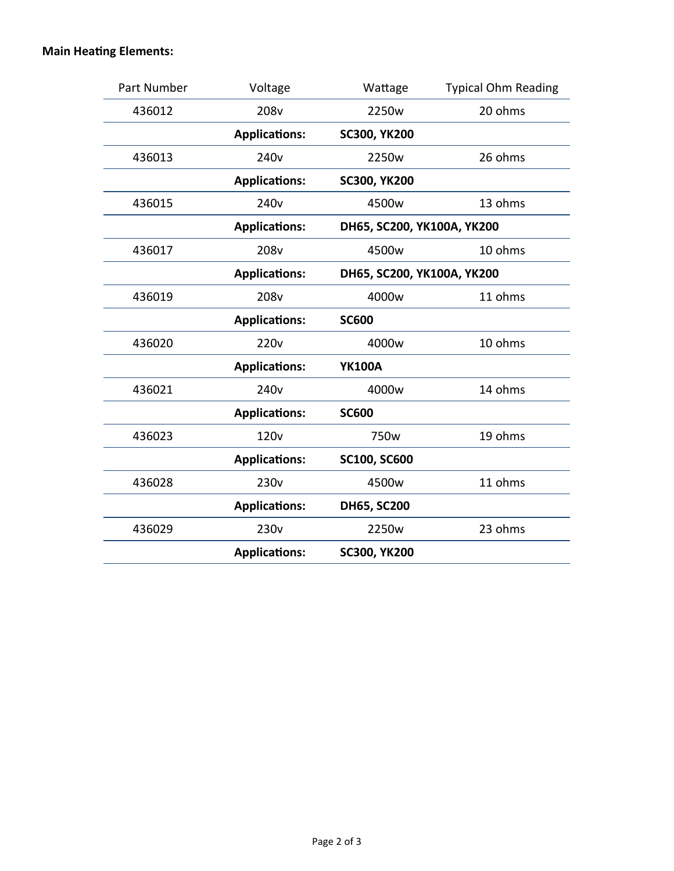# **Main Heating Elements:**

| Part Number | Voltage              | Wattage                    | <b>Typical Ohm Reading</b> |
|-------------|----------------------|----------------------------|----------------------------|
| 436012      | 208 <sub>v</sub>     | 2250w                      | 20 ohms                    |
|             | <b>Applications:</b> | <b>SC300, YK200</b>        |                            |
| 436013      | 240 <sub>v</sub>     | 2250w                      | 26 ohms                    |
|             | <b>Applications:</b> | <b>SC300, YK200</b>        |                            |
| 436015      | 240 <sub>v</sub>     | 4500w                      | 13 ohms                    |
|             | <b>Applications:</b> | DH65, SC200, YK100A, YK200 |                            |
| 436017      | 208v                 | 4500w                      | 10 ohms                    |
|             | <b>Applications:</b> | DH65, SC200, YK100A, YK200 |                            |
| 436019      | 208v                 | 4000w                      | 11 ohms                    |
|             | <b>Applications:</b> | <b>SC600</b>               |                            |
| 436020      | 220 <sub>v</sub>     | 4000w                      | 10 ohms                    |
|             | <b>Applications:</b> | <b>YK100A</b>              |                            |
| 436021      | 240 <sub>v</sub>     | 4000w                      | 14 ohms                    |
|             | <b>Applications:</b> | <b>SC600</b>               |                            |
| 436023      | 120 <sub>v</sub>     | 750w                       | 19 ohms                    |
|             | <b>Applications:</b> | <b>SC100, SC600</b>        |                            |
| 436028      | 230 <sub>v</sub>     | 4500w                      | 11 ohms                    |
|             | <b>Applications:</b> | DH65, SC200                |                            |
| 436029      | 230 <sub>v</sub>     | 2250w                      | 23 ohms                    |
|             | <b>Applications:</b> | <b>SC300, YK200</b>        |                            |